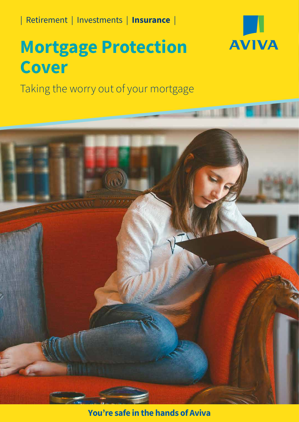| Retirement | Investments | **Insurance** |



# **Mortgage Protection Cover**

Taking the worry out of your mortgage



**You're safe in the hands of Aviva**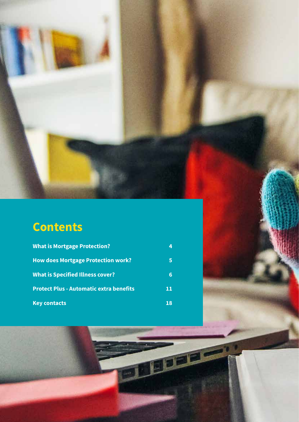## **Contents**

| <b>What is Mortgage Protection?</b>            |    |
|------------------------------------------------|----|
| <b>How does Mortgage Protection work?</b>      | 5  |
| <b>What is Specified Illness cover?</b>        | 6  |
| <b>Protect Plus - Automatic extra benefits</b> | 11 |
| <b>Key contacts</b>                            | 18 |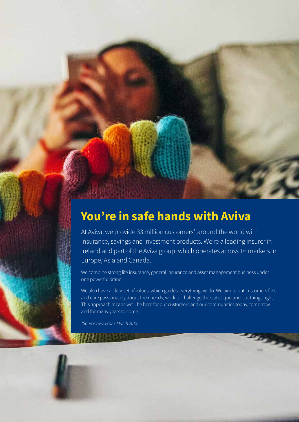## **You're in safe hands with Aviva**

At Aviva, we provide 33 million customers\* around the world with insurance, savings and investment products. We're a leading insurer in Ireland and part of the Aviva group, which operates across 16 markets in Europe, Asia and Canada.

We combine strong life insurance, general insurance and asset management business under one powerful brand.

We also have a clear set of values, which guides everything we do. We aim to put customers first and care passionately about their needs, work to challenge the status quo and put things right. This approach means we'll be here for our customers and our communities today, tomorrow and for many years to come.

**PAGE 19** 

*\*Source:aviva.com, March 2019.*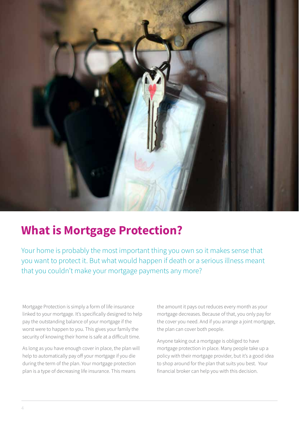

### **What is Mortgage Protection?**

Your home is probably the most important thing you own so it makes sense that you want to protect it. But what would happen if death or a serious illness meant that you couldn't make your mortgage payments any more?

Mortgage Protection is simply a form of life insurance linked to your mortgage. It's specifically designed to help pay the outstanding balance of your mortgage if the worst were to happen to you. This gives your family the security of knowing their home is safe at a difficult time.

As long as you have enough cover in place, the plan will help to automatically pay off your mortgage if you die during the term of the plan. Your mortgage protection plan is a type of decreasing life insurance. This means

the amount it pays out reduces every month as your mortgage decreases. Because of that, you only pay for the cover you need. And if you arrange a joint mortgage, the plan can cover both people.

Anyone taking out a mortgage is obliged to have mortgage protection in place. Many people take up a policy with their mortgage provider, but it's a good idea to shop around for the plan that suits you best. Your financial broker can help you with this decision.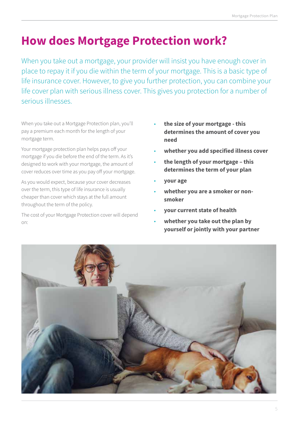### **How does Mortgage Protection work?**

When you take out a mortgage, your provider will insist you have enough cover in place to repay it if you die within the term of your mortgage. This is a basic type of life insurance cover. However, to give you further protection, you can combine your life cover plan with serious illness cover. This gives you protection for a number of serious illnesses.

When you take out a Mortgage Protection plan, you'll pay a premium each month for the length of your mortgage term.

Your mortgage protection plan helps pays off your mortgage if you die before the end of the term. As it's designed to work with your mortgage, the amount of cover reduces over time as you pay off your mortgage.

As you would expect, because your cover decreases over the term, this type of life insurance is usually cheaper than cover which stays at the full amount throughout the term of the policy.

The cost of your Mortgage Protection cover will depend on:

- **the size of your mortgage this determines the amount of cover you need**
- **whether you add specified illness cover**
- • **the length of your mortgage this determines the term of your plan**
- **your age**
- • **whether you are a smoker or nonsmoker**
- **your current state of health**
- • **whether you take out the plan by yourself or jointly with your partner**

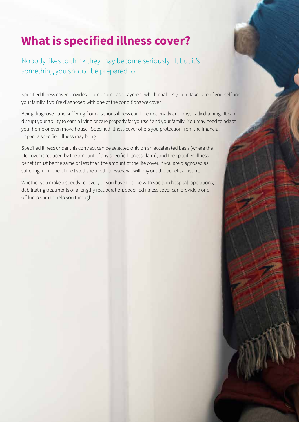### **What is specified illness cover?**

Nobody likes to think they may become seriously ill, but it's something you should be prepared for.

Specified Illness cover provides a lump sum cash payment which enables you to take care of yourself and your family if you're diagnosed with one of the conditions we cover.

Being diagnosed and suffering from a serious illness can be emotionally and physically draining. It can disrupt your ability to earn a living or care properly for yourself and your family. You may need to adapt your home or even move house. Specified Illness cover offers you protection from the financial impact a specified illness may bring.

Specified illness under this contract can be selected only on an accelerated basis (where the life cover is reduced by the amount of any specified illness claim), and the specified illness benefit must be the same or less than the amount of the life cover. If you are diagnosed as suffering from one of the listed specified illnesses, we will pay out the benefit amount.

Whether you make a speedy recovery or you have to cope with spells in hospital, operations, debilitating treatments or a lengthy recuperation, specified illness cover can provide a oneoff lump sum to help you through.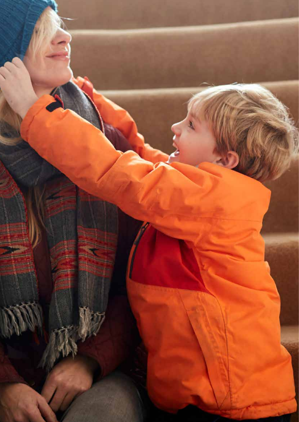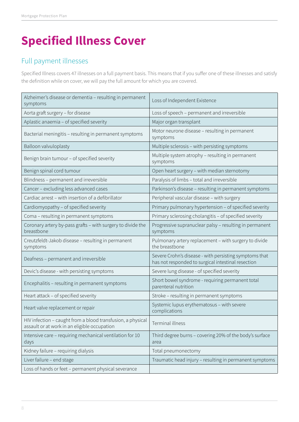## **Specified Illness Cover**

### Full payment illnesses

Specified Illness covers 47 illnesses on a full payment basis. This means that if you suffer one of these illnesses and satisfy the definition while on cover, we will pay the full amount for which you are covered.

| Alzheimer's disease or dementia - resulting in permanent<br>symptoms                                        | Loss of Independent Existence                                                                                |  |
|-------------------------------------------------------------------------------------------------------------|--------------------------------------------------------------------------------------------------------------|--|
| Aorta graft surgery - for disease                                                                           | Loss of speech - permanent and irreversible                                                                  |  |
| Aplastic anaemia - of specified severity                                                                    | Major organ transplant                                                                                       |  |
| Bacterial meningitis - resulting in permanent symptoms                                                      | Motor neurone disease - resulting in permanent<br>symptoms                                                   |  |
| Balloon valvuloplasty                                                                                       | Multiple sclerosis - with persisting symptoms                                                                |  |
| Benign brain tumour - of specified severity                                                                 | Multiple system atrophy - resulting in permanent<br>symptoms                                                 |  |
| Benign spinal cord tumour                                                                                   | Open heart surgery - with median sternotomy                                                                  |  |
| Blindness - permanent and irreversible                                                                      | Paralysis of limbs - total and irreversible                                                                  |  |
| Cancer - excluding less advanced cases                                                                      | Parkinson's disease - resulting in permanent symptoms                                                        |  |
| Cardiac arrest - with insertion of a defibrillator                                                          | Peripheral vascular disease - with surgery                                                                   |  |
| Cardiomyopathy - of specified severity                                                                      | Primary pulmonary hypertension - of specified severity                                                       |  |
| Coma - resulting in permanent symptoms                                                                      | Primary sclerosing cholangitis - of specified severity                                                       |  |
| Coronary artery by-pass grafts - with surgery to divide the<br>breastbone                                   | Progressive supranuclear palsy - resulting in permanent<br>symptoms                                          |  |
| Creutzfeldt-Jakob disease - resulting in permanent<br>symptoms                                              | Pulmonary artery replacement - with surgery to divide<br>the breastbone                                      |  |
| Deafness - permanent and irreversible                                                                       | Severe Crohn's disease - with persisting symptoms that<br>has not responded to surgical intestinal resection |  |
| Devic's disease - with persisting symptoms                                                                  | Severe lung disease - of specified severity                                                                  |  |
| Encephalitis - resulting in permanent symptoms                                                              | Short bowel syndrome - requiring permanent total<br>parenteral nutrition                                     |  |
| Heart attack - of specified severity                                                                        | Stroke - resulting in permanent symptoms                                                                     |  |
| Heart valve replacement or repair                                                                           | Systemic lupus erythematosus - with severe<br>complications                                                  |  |
| HIV infection – caught from a blood transfusion, a physical<br>assault or at work in an eligible occupation | Terminal illness                                                                                             |  |
| Intensive care - requiring mechanical ventilation for 10<br>days                                            | Third degree burns - covering 20% of the body's surface<br>area                                              |  |
| Kidney failure - requiring dialysis                                                                         | Total pneumonectomy                                                                                          |  |
| Liver failure - end stage                                                                                   | Traumatic head injury - resulting in permanent symptoms                                                      |  |
| Loss of hands or feet - permanent physical severance                                                        |                                                                                                              |  |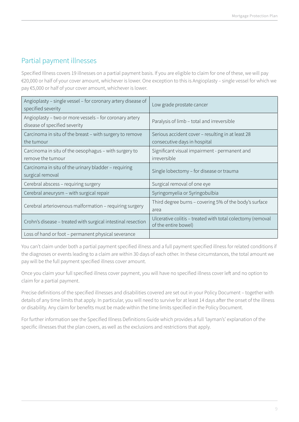### Partial payment illnesses

Specified Illness covers 19 illnesses on a partial payment basis. If you are eligible to claim for one of these, we will pay €20,000 or half of your cover amount, whichever is lower. One exception to this is Angioplasty – single vessel for which we pay €5,000 or half of your cover amount, whichever is lower.

| Angioplasty – single vessel – for coronary artery disease of<br>specified severity       | Low grade prostate cancer                                                          |
|------------------------------------------------------------------------------------------|------------------------------------------------------------------------------------|
| Angioplasty - two or more vessels - for coronary artery<br>disease of specified severity | Paralysis of limb – total and irreversible                                         |
| Carcinoma in situ of the breast - with surgery to remove<br>the tumour                   | Serious accident cover - resulting in at least 28<br>consecutive days in hospital  |
| Carcinoma in situ of the oesophagus - with surgery to<br>remove the tumour               | Significant visual impairment - permanent and<br>irreversible                      |
| Carcinoma in situ of the urinary bladder – requiring<br>surgical removal                 | Single lobectomy - for disease or trauma                                           |
| Cerebral abscess - requiring surgery                                                     | Surgical removal of one eye                                                        |
| Cerebral aneurysm - with surgical repair                                                 | Syringomyelia or Syringobulbia                                                     |
| Cerebral arteriovenous malformation - requiring surgery                                  | Third degree burns - covering 5% of the body's surface<br>area                     |
| Crohn's disease - treated with surgical intestinal resection                             | Ulcerative colitis - treated with total colectomy (removal<br>of the entire bowel) |
| Loss of hand or foot - permanent physical severance                                      |                                                                                    |

You can't claim under both a partial payment specified illness and a full payment specified illness for related conditions if the diagnoses or events leading to a claim are within 30 days of each other. In these circumstances, the total amount we pay will be the full payment specified illness cover amount.

Once you claim your full specified illness cover payment, you will have no specified illness cover left and no option to claim for a partial payment.

Precise definitions of the specified illnesses and disabilities covered are set out in your Policy Document – together with details of any time limits that apply. In particular, you will need to survive for at least 14 days after the onset of the illness or disability. Any claim for benefits must be made within the time limits specified in the Policy Document.

For further information see the Specified Illness Definitions Guide which provides a full 'layman's' explanation of the specific illnesses that the plan covers, as well as the exclusions and restrictions that apply.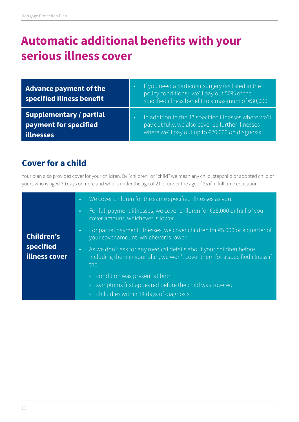### **Automatic additional benefits with your serious illness cover**

| <b>Advance payment of the</b><br>specified illness benefit                  | If you need a particular surgery (as listed in the<br>policy conditions), we'll pay out 50% of the<br>specified illness benefit to a maximum of €30,000.      |
|-----------------------------------------------------------------------------|---------------------------------------------------------------------------------------------------------------------------------------------------------------|
| <b>Supplementary / partial</b><br>payment for specified<br><i>illnesses</i> | In addition to the 47 specified illnesses where we'll<br>pay out fully, we also cover 19 further illnesses<br>where we'll pay out up to €20,000 on diagnosis. |

### **Cover for a child**

Your plan also provides cover for your children. By "children" or "child" we mean any child, stepchild or adopted child of yours who is aged 30 days or more and who is under the age of 21 or under the age of 25 if in full time education.

| <b>Children's</b><br>specified<br>illness cover | We cover children for the same specified illnesses as you.<br>$\bullet$<br>For full payment illnesses, we cover children for $E$ 25,000 or half of your<br>$\bullet$<br>cover amount, whichever is lower.<br>For partial payment illnesses, we cover children for $\epsilon$ 5,000 or a quarter of<br>$\bullet$<br>your cover amount, whichever is lower.<br>As we don't ask for any medical details about your children before<br>$\bullet$<br>including them in your plan, we won't cover them for a specified illness if<br>the: |
|-------------------------------------------------|-------------------------------------------------------------------------------------------------------------------------------------------------------------------------------------------------------------------------------------------------------------------------------------------------------------------------------------------------------------------------------------------------------------------------------------------------------------------------------------------------------------------------------------|
|                                                 | condition was present at birth<br>symptoms first appeared before the child was covered<br>child dies within 14 days of diagnosis.                                                                                                                                                                                                                                                                                                                                                                                                   |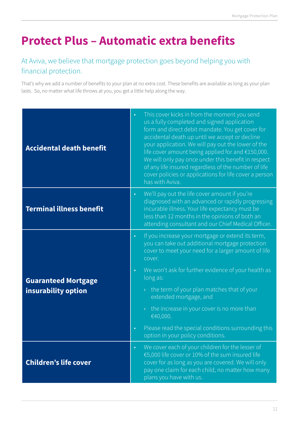### **Protect Plus – Automatic extra benefits**

### At Aviva, we believe that mortgage protection goes beyond helping you with financial protection.

That's why we add a number of benefits to your plan at no extra cost. These benefits are available as long as your plan lasts. So, no matter what life throws at you, you get a little help along the way.

| <b>Accidental death benefit</b>                   | This cover kicks in from the moment you send<br>$\bullet$<br>us a fully completed and signed application<br>form and direct debit mandate. You get cover for<br>accidental death up until we accept or decline<br>your application. We will pay out the lower of the<br>life cover amount being applied for and €150,000.<br>We will only pay once under this benefit in respect<br>of any life insured regardless of the number of life<br>cover policies or applications for life cover a person<br>has with Aviva. |
|---------------------------------------------------|-----------------------------------------------------------------------------------------------------------------------------------------------------------------------------------------------------------------------------------------------------------------------------------------------------------------------------------------------------------------------------------------------------------------------------------------------------------------------------------------------------------------------|
| <b>Terminal illness benefit</b>                   | We'll pay out the life cover amount if you're<br>$\bullet$<br>diagnosed with an advanced or rapidly progressing<br>incurable illness. Your life expectancy must be<br>less than 12 months in the opinions of both an<br>attending consultant and our Chief Medical Officer.                                                                                                                                                                                                                                           |
| <b>Guaranteed Mortgage</b><br>insurability option | If you increase your mortgage or extend its term,<br>$\bullet$<br>you can take out additional mortgage protection<br>cover to meet your need for a larger amount of life<br>cover.                                                                                                                                                                                                                                                                                                                                    |
|                                                   | We won't ask for further evidence of your health as<br>$\bullet$<br>long as:                                                                                                                                                                                                                                                                                                                                                                                                                                          |
|                                                   | the term of your plan matches that of your<br>extended mortgage, and                                                                                                                                                                                                                                                                                                                                                                                                                                                  |
|                                                   | the increase in your cover is no more than<br>€40,000.                                                                                                                                                                                                                                                                                                                                                                                                                                                                |
|                                                   | Please read the special conditions surrounding this<br>option in your policy conditions.                                                                                                                                                                                                                                                                                                                                                                                                                              |
| <b>Children's life cover</b>                      | We cover each of your children for the lesser of<br>$\bullet$<br>€5,000 life cover or 10% of the sum insured life<br>cover for as long as you are covered. We will only<br>pay one claim for each child, no matter how many<br>plans you have with us.                                                                                                                                                                                                                                                                |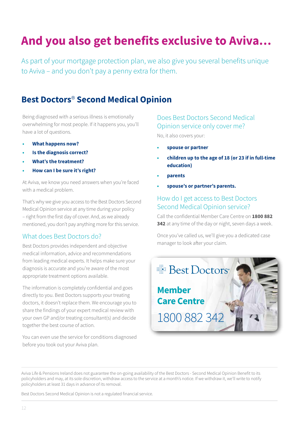## **And you also get benefits exclusive to Aviva…**

As part of your mortgage protection plan, we also give you several benefits unique to Aviva – and you don't pay a penny extra for them.

### **Best Doctors**® **Second Medical Opinion**

Being diagnosed with a serious illness is emotionally overwhelming for most people. If it happens you, you'll have a lot of questions.

- **• What happens now?**
- **• Is the diagnosis correct?**
- **• What's the treatment?**
- **• How can I be sure it's right?**

At Aviva, we know you need answers when you're faced with a medical problem.

That's why we give you access to the Best Doctors Second Medical Opinion service at any time during your policy – right from the first day of cover. And, as we already mentioned, you don't pay anything more for this service.

#### What does Best Doctors do?

Best Doctors provides independent and objective medical information, advice and recommendations from leading medical experts. It helps make sure your diagnosis is accurate and you're aware of the most appropriate treatment options available.

The information is completely confidential and goes directly to you. Best Doctors supports your treating doctors, it doesn't replace them. We encourage you to share the findings of your expert medical review with your own GP and/or treating consultant(s) and decide together the best course of action.

You can even use the service for conditions diagnosed before you took out your Aviva plan.

Does Best Doctors Second Medical Opinion service only cover me? No, it also covers your:

- **• spouse or partner**
- **children up to the age of 18 (or 23 if in full-time education)**
- **• parents**
- **• spouse's or partner's parents.**

#### How do I get access to Best Doctors Second Medical Opinion service?

Call the confidential Member Care Centre on **1800 882 342** at any time of the day or night, seven days a week.

Once you've called us, we'll give you a dedicated case manager to look after your claim.



Best Doctors Second Medical Opinion is not a regulated financial service.

Aviva Life & Pensions Ireland does not guarantee the on-going availability of the Best Doctors - Second Medical Opinion Benefit to its policyholders and may, at its sole discretion, withdraw access to the service at a month's notice. If we withdraw it, we'll write to notify policyholders at least 31 days in advance of its removal.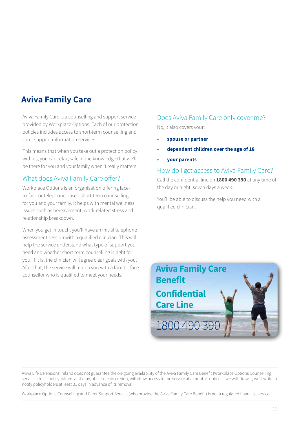### **Aviva Family Care**

Aviva Family Care is a counselling and support service provided by Workplace Options. Each of our protection policies includes access to short-term counselling and carer support information services

This means that when you take out a protection policy with us, you can relax, safe in the knowledge that we'll be there for you and your family when it really matters.

#### What does Aviva Family Care offer?

Workplace Options is an organisation offering faceto-face or telephone based short-term counselling for you and your family. It helps with mental wellness issues such as bereavement, work-related stress and relationship breakdown.

When you get in touch, you'll have an initial telephone assessment session with a qualified clinician. This will help the service understand what type of support you need and whether short-term counselling is right for you. If it is, the clinician will agree clear goals with you. After that, the service will match you with a face-to-face counsellor who is qualified to meet your needs.

#### Does Aviva Family Care only cover me?

No, it also covers your:

- **• spouse or partner**
- **dependent children over the age of 18**
- **• your parents**

#### How do I get access to Aviva Family Care?

Call the confidential line on **1800 490 390** at any time of the day or night, seven days a week.

You'll be able to discuss the help you need with a qualified clinician.



Aviva Life & Pensions Ireland does not guarantee the on-going availability of the Aviva Family Care Benefit (Workplace Options Counselling services) to its policyholders and may, at its sole discretion, withdraw access to the service at a month's notice. If we withdraw it, we'll write to notify policyholders at least 31 days in advance of its removal.

Workplace Options Counselling and Carer Support Service (who provide the Aviva Family Care Benefit) is not a regulated financial service.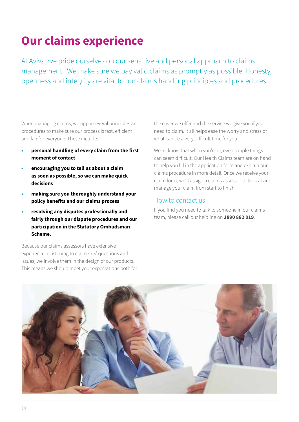## **Our claims experience**

At Aviva, we pride ourselves on our sensitive and personal approach to claims management. We make sure we pay valid claims as promptly as possible. Honesty, openness and integrity are vital to our claims handling principles and procedures.

When managing claims, we apply several principles and procedures to make sure our process is fast, efficient and fair for everyone. These include:

- **personal handling of every claim from the first moment of contact**
- **encouraging you to tell us about a claim as soon as possible, so we can make quick decisions**
- **making sure you thoroughly understand your policy benefits and our claims process**
- **resolving any disputes professionally and fairly through our dispute procedures and our participation in the Statutory Ombudsman Scheme.**

Because our claims assessors have extensive experience in listening to claimants' questions and issues, we involve them in the design of our products. This means we should meet your expectations both for the cover we offer and the service we give you if you need to claim. It all helps ease the worry and stress of what can be a very difficult time for you.

We all know that when you're ill, even simple things can seem difficult. Our Health Claims team are on hand to help you fill in the application form and explain our claims procedure in more detail. Once we receive your claim form, we'll assign a claims assessor to look at and manage your claim from start to finish.

#### How to contact us

If you find you need to talk to someone in our claims team, please call our helpline on **1890 882 019**.

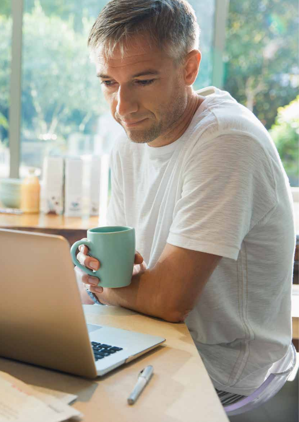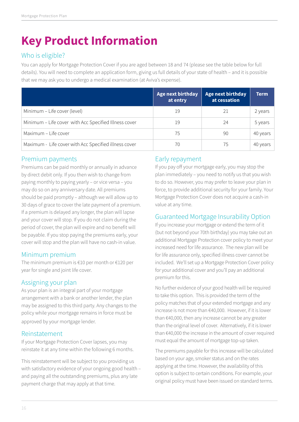## **Key Product Information**

### Who is eligible?

You can apply for Mortgage Protection Cover if you are aged between 18 and 74 (please see the table below for full details). You will need to complete an application form, giving us full details of your state of health – and it is possible that we may ask you to undergo a medical examination (at Aviva's expense).

|                                                       | Age next birthday<br>at entry | Age next birthday<br>at cessation | Term     |
|-------------------------------------------------------|-------------------------------|-----------------------------------|----------|
| Minimum - Life cover (level)                          | 19                            | 21                                | 2 years  |
| Minimum - Life cover with Acc Specified Illness cover | 19                            | 24                                | 5 years  |
| Maximum – Life cover                                  | 75                            | 90                                | 40 years |
| Maximum - Life cover with Acc Specified illness cover | 70                            | 75                                | 40 years |

#### Premium payments

Premiums can be paid monthly or annually in advance by direct debit only. If you then wish to change from paying monthly to paying yearly – or vice versa – you may do so on any anniversary date. All premiums should be paid promptly – although we will allow up to 30 days of grace to cover the late payment of a premium. If a premium is delayed any longer, the plan will lapse and your cover will stop. If you do not claim during the period of cover, the plan will expire and no benefit will be payable. If you stop paying the premiums early, your cover will stop and the plan will have no cash-in value.

#### Minimum premium

The minimum premium is €10 per month or €120 per year for single and joint life cover.

#### Assigning your plan

As your plan is an integral part of your mortgage arrangement with a bank or another lender, the plan may be assigned to this third party. Any changes to the policy while your mortgage remains in force must be approved by your mortgage lender.

#### Reinstatement

If your Mortgage Protection Cover lapses, you may reinstate it at any time within the following 6 months.

This reinstatement will be subject to you providing us with satisfactory evidence of your ongoing good health – and paying all the outstanding premiums, plus any late payment charge that may apply at that time.

#### Early repayment

If you pay off your mortgage early, you may stop the plan immediately – you need to notify us that you wish to do so. However, you may prefer to leave your plan in force, to provide additional security for your family. Your Mortgage Protection Cover does not acquire a cash-in value at any time.

#### Guaranteed Mortgage Insurability Option

If you increase your mortgage or extend the term of it (but not beyond your 70th birthday) you may take out an additional Mortgage Protection cover policy to meet your increased need for life assurance. The new plan will be for life assurance only, specified illness cover cannot be included. We'll set up a Mortgage Protection Cover policy for your additional cover and you'll pay an additional premium for this.

No further evidence of your good health will be required to take this option. This is provided the term of the policy matches that of your extended mortgage and any increase is not more than €40,000. However, if it is lower than €40,000, then any increase cannot be any greater than the original level of cover. Alternatively, if it is lower than €40,000 the increase in the amount of cover required must equal the amount of mortgage top-up taken.

The premiums payable for this increase will be calculated based on your age, smoker status and on the rates applying at the time. However, the availability of this option is subject to certain conditions. For example, your original policy must have been issued on standard terms.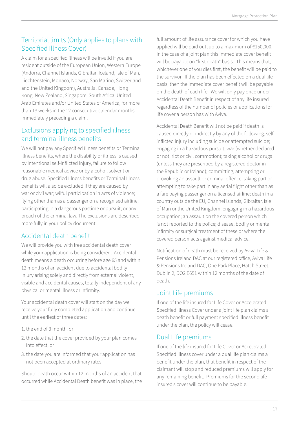#### Territorial limits (Only applies to plans with Specified Illness Cover)

A claim for a specified illness will be invalid if you are resident outside of the European Union, Western Europe (Andorra, Channel Islands, Gibraltar, Iceland, Isle of Man, Liechtenstein, Monaco, Norway, San Marino, Switzerland and the United Kingdom), Australia, Canada, Hong Kong, New Zealand, Singapore, South Africa, United Arab Emirates and/or United States of America, for more than 13 weeks in the 12 consecutive calendar months immediately preceding a claim.

#### Exclusions applying to specified illness and terminal illness benefits

We will not pay any Specified Illness benefits or Terminal Illness benefits, where the disability or illness is caused by intentional self-inflicted injury, failure to follow reasonable medical advice or by alcohol, solvent or drug abuse. Specified Illness benefits or Terminal Illness benefits will also be excluded if they are caused by war or civil war; wilful participation in acts of violence; flying other than as a passenger on a recognised airline; participating in a dangerous pastime or pursuit; or any breach of the criminal law. The exclusions are described more fully in your policy document.

#### Accidental death benefit

We will provide you with free accidental death cover while your application is being considered. Accidental death means a death occurring before age 65 and within 12 months of an accident due to accidental bodily injury arising solely and directly from external violent, visible and accidental causes, totally independent of any physical or mental illness or infirmity.

Your accidental death cover will start on the day we receive your fully completed application and continue until the earliest of three dates:

- 1. the end of 3 month, or
- 2. the date that the cover provided by your plan comes into effect, or
- 3. the date you are informed that your application has not been accepted at ordinary rates.

Should death occur within 12 months of an accident that occurred while Accidental Death benefit was in place, the full amount of life assurance cover for which you have applied will be paid out, up to a maximum of €150,000. In the case of a joint plan this immediate cover benefit will be payable on "first death" basis. This means that, whichever one of you dies first, the benefit will be paid to the survivor. If the plan has been effected on a dual life basis, then the immediate cover benefit will be payable on the death of each life. We will only pay once under Accidental Death Benefit in respect of any life insured regardless of the number of policies or applications for life cover a person has with Aviva.

Accidental Death Benefit will not be paid if death is caused directly or indirectly by any of the following: self inflicted injury including suicide or attempted suicide; engaging in a hazardous pursuit; war (whether declared or not, riot or civil commotion); taking alcohol or drugs (unless they are prescribed by a registered doctor in the Republic or Ireland); committing, attempting or provoking an assault or criminal offence; taking part or attempting to take part in any aerial flight other than as a fare paying passenger on a licensed airline; death in a country outside the EU, Channel Islands, Gibraltar, Isle of Man or the United Kingdom; engaging in a hazardous occupation; an assault on the covered person which is not reported to the police; disease, bodily or mental infirmity or surgical treatment of these or where the covered person acts against medical advice.

Notification of death must be received by Aviva Life & Pensions Ireland DAC at our registered office, Aviva Life & Pensions Ireland DAC, One Park Place, Hatch Street, Dublin 2, DO2 E651 within 12 months of the date of death.

#### Joint Life premiums

If one of the life insured for Life Cover or Accelerated Specified Illness Cover under a joint life plan claims a death benefit or full payment specified illness benefit under the plan, the policy will cease.

#### Dual Life premiums

If one of the life insured for Life Cover or Accelerated Specified Illness cover under a dual life plan claims a benefit under the plan, that benefit in respect of the claimant will stop and reduced premiums will apply for any remaining benefit. Premiums for the second life insured's cover will continue to be payable.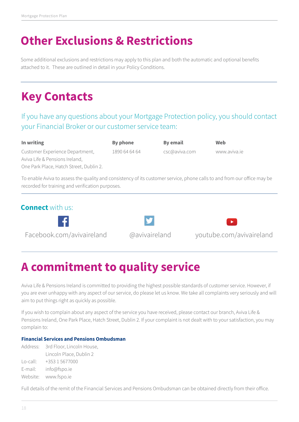## **Other Exclusions & Restrictions**

Some additional exclusions and restrictions may apply to this plan and both the automatic and optional benefits attached to it. These are outlined in detail in your Policy Conditions.

## **Key Contacts**

### If you have any questions about your Mortgage Protection policy, you should contact your Financial Broker or our customer service team:

| In writing                              | By phone      | By email      | Web          |
|-----------------------------------------|---------------|---------------|--------------|
| Customer Experience Department,         | 1890 64 64 64 | csc@aviva.com | www.aviva.je |
| Aviva Life & Pensions Ireland,          |               |               |              |
| One Park Place, Hatch Street, Dublin 2. |               |               |              |
|                                         |               |               |              |

To enable Aviva to assess the quality and consistency of its customer service, phone calls to and from our office may be recorded for training and verification purposes.



## **A commitment to quality service**

Aviva Life & Pensions Ireland is committed to providing the highest possible standards of customer service. However, if you are ever unhappy with any aspect of our service, do please let us know. We take all complaints very seriously and will aim to put things right as quickly as possible.

If you wish to complain about any aspect of the service you have received, please contact our branch, Aviva Life & Pensions Ireland, One Park Place, Hatch Street, Dublin 2. If your complaint is not dealt with to your satisfaction, you may complain to:

#### **Financial Services and Pensions Ombudsman**

Address: 3rd Floor, Lincoln House, Lincoln Place, Dublin 2 Lo-call: +353 1 5677000 E-mail: info@fspo.ie Website: www.fspo.ie

Full details of the remit of the Financial Services and Pensions Ombudsman can be obtained directly from their office.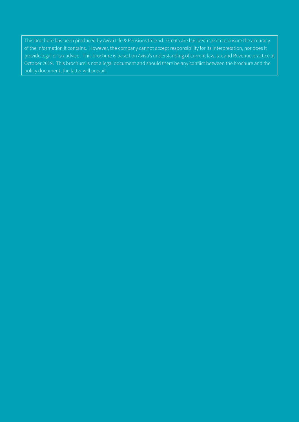This brochure has been produced by Aviva Life & Pensions Ireland. Great care has been taken to ensure the accuracy of the information it contains. However, the company cannot accept responsibility for its interpretation, nor does it provide legal or tax advice. This brochure is based on Aviva's understanding of current law, tax and Revenue practice at October 2019. This brochure is not a legal document and should there be any conflict between the brochure and the policy document, the latter will prevail.